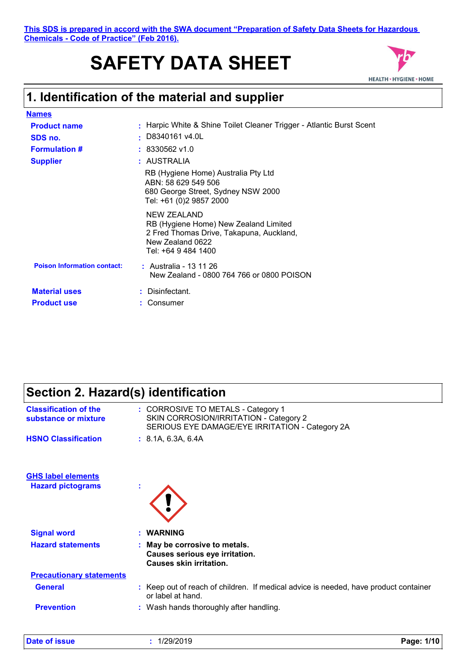# **SAFETY DATA SHEET**



### **1. Identification of the material and supplier**

| <b>Names</b>                               |                                                                                                                                             |
|--------------------------------------------|---------------------------------------------------------------------------------------------------------------------------------------------|
| <b>Product name</b>                        | Harpic White & Shine Toilet Cleaner Trigger - Atlantic Burst Scent                                                                          |
| SDS no.                                    | : D8340161 v4.0L                                                                                                                            |
| <b>Formulation #</b>                       | $: 8330562$ v1.0                                                                                                                            |
| <b>Supplier</b>                            | : AUSTRALIA                                                                                                                                 |
|                                            | RB (Hygiene Home) Australia Pty Ltd<br>ABN: 58 629 549 506<br>680 George Street, Sydney NSW 2000<br>Tel: +61 (0)2 9857 2000                 |
|                                            | NEW ZEALAND<br>RB (Hygiene Home) New Zealand Limited<br>2 Fred Thomas Drive, Takapuna, Auckland,<br>New Zealand 0622<br>Tel: +64 9 484 1400 |
| <b>Poison Information contact:</b>         | : Australia - 13 11 26<br>New Zealand - 0800 764 766 or 0800 POISON                                                                         |
| <b>Material uses</b><br><b>Product use</b> | : Disinfectant.<br>Consumer                                                                                                                 |

#### **Section 2. Hazard(s) identification Classification of the**

| <b>Classification of the</b><br>substance or mixture | : CORROSIVE TO METALS - Category 1<br>SKIN CORROSION/IRRITATION - Category 2<br>SERIOUS EYE DAMAGE/EYE IRRITATION - Category 2A |
|------------------------------------------------------|---------------------------------------------------------------------------------------------------------------------------------|
| <b>HSNO Classification</b>                           | : 8.1A, 6.3A, 6.4A                                                                                                              |
| <b>GHS label elements</b>                            |                                                                                                                                 |
| <b>Hazard pictograms</b>                             |                                                                                                                                 |
| <b>Signal word</b>                                   | : WARNING                                                                                                                       |
| <b>Hazard statements</b>                             | : May be corrosive to metals.<br>Causes serious eye irritation.<br><b>Causes skin irritation.</b>                               |
| <b>Precautionary statements</b>                      |                                                                                                                                 |
| <b>General</b>                                       | : Keep out of reach of children. If medical advice is needed, have product container<br>or label at hand.                       |
| <b>Prevention</b>                                    | : Wash hands thoroughly after handling.                                                                                         |
|                                                      |                                                                                                                                 |

| Date of issue<br>1/29/2019 | Page: 1/10 |
|----------------------------|------------|
|----------------------------|------------|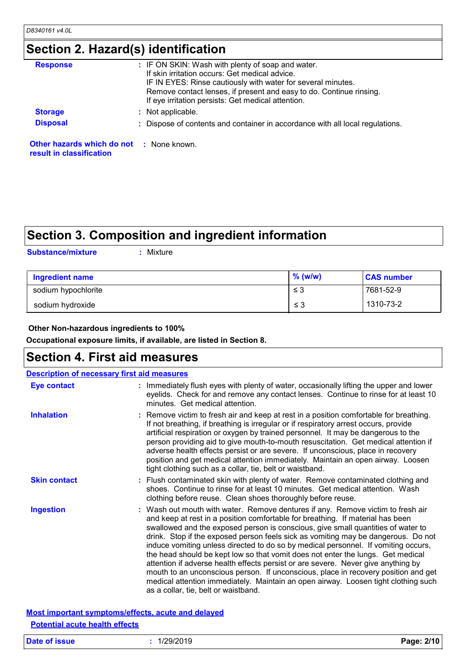### **Section 2. Hazard(s) identification**

| <b>Response</b>                                                             | : IF ON SKIN: Wash with plenty of soap and water.<br>If skin irritation occurs: Get medical advice.<br>IF IN EYES: Rinse cautiously with water for several minutes.<br>Remove contact lenses, if present and easy to do. Continue rinsing.<br>If eye irritation persists: Get medical attention. |
|-----------------------------------------------------------------------------|--------------------------------------------------------------------------------------------------------------------------------------------------------------------------------------------------------------------------------------------------------------------------------------------------|
| <b>Storage</b>                                                              | : Not applicable.                                                                                                                                                                                                                                                                                |
| <b>Disposal</b>                                                             | : Dispose of contents and container in accordance with all local regulations.                                                                                                                                                                                                                    |
| <b>Other hazards which do not</b> : None known.<br>result in classification |                                                                                                                                                                                                                                                                                                  |

### **Section 3. Composition and ingredient information**

**Substance/mixture :**

: Mixture

| <b>Ingredient name</b> | $%$ (w/w) | <b>CAS number</b> |
|------------------------|-----------|-------------------|
| sodium hypochlorite    | $\leq 3$  | 7681-52-9         |
| sodium hydroxide       | ≤ 3       | 1310-73-2         |

#### **Other Non-hazardous ingredients to 100%**

**Occupational exposure limits, if available, are listed in Section 8.**

### **Section 4. First aid measures**

| <b>Description of necessary first aid measures</b> |  |                                                                                                                                                                                                                                                                                                                                                                                                                                                                                                                                                                                                                                                                                                                                                                                                                              |
|----------------------------------------------------|--|------------------------------------------------------------------------------------------------------------------------------------------------------------------------------------------------------------------------------------------------------------------------------------------------------------------------------------------------------------------------------------------------------------------------------------------------------------------------------------------------------------------------------------------------------------------------------------------------------------------------------------------------------------------------------------------------------------------------------------------------------------------------------------------------------------------------------|
| <b>Eye contact</b>                                 |  | : Immediately flush eyes with plenty of water, occasionally lifting the upper and lower<br>eyelids. Check for and remove any contact lenses. Continue to rinse for at least 10<br>minutes. Get medical attention.                                                                                                                                                                                                                                                                                                                                                                                                                                                                                                                                                                                                            |
| <b>Inhalation</b>                                  |  | : Remove victim to fresh air and keep at rest in a position comfortable for breathing.<br>If not breathing, if breathing is irregular or if respiratory arrest occurs, provide<br>artificial respiration or oxygen by trained personnel. It may be dangerous to the<br>person providing aid to give mouth-to-mouth resuscitation. Get medical attention if<br>adverse health effects persist or are severe. If unconscious, place in recovery<br>position and get medical attention immediately. Maintain an open airway. Loosen<br>tight clothing such as a collar, tie, belt or waistband.                                                                                                                                                                                                                                 |
| <b>Skin contact</b>                                |  | : Flush contaminated skin with plenty of water. Remove contaminated clothing and<br>shoes. Continue to rinse for at least 10 minutes. Get medical attention. Wash<br>clothing before reuse. Clean shoes thoroughly before reuse.                                                                                                                                                                                                                                                                                                                                                                                                                                                                                                                                                                                             |
| <b>Ingestion</b>                                   |  | : Wash out mouth with water. Remove dentures if any. Remove victim to fresh air<br>and keep at rest in a position comfortable for breathing. If material has been<br>swallowed and the exposed person is conscious, give small quantities of water to<br>drink. Stop if the exposed person feels sick as vomiting may be dangerous. Do not<br>induce vomiting unless directed to do so by medical personnel. If vomiting occurs,<br>the head should be kept low so that vomit does not enter the lungs. Get medical<br>attention if adverse health effects persist or are severe. Never give anything by<br>mouth to an unconscious person. If unconscious, place in recovery position and get<br>medical attention immediately. Maintain an open airway. Loosen tight clothing such<br>as a collar, tie, belt or waistband. |

#### **Most important symptoms/effects, acute and delayed Potential acute health effects**

| Date of issue | 1/29/2019 | Page: 2/10 |
|---------------|-----------|------------|
|---------------|-----------|------------|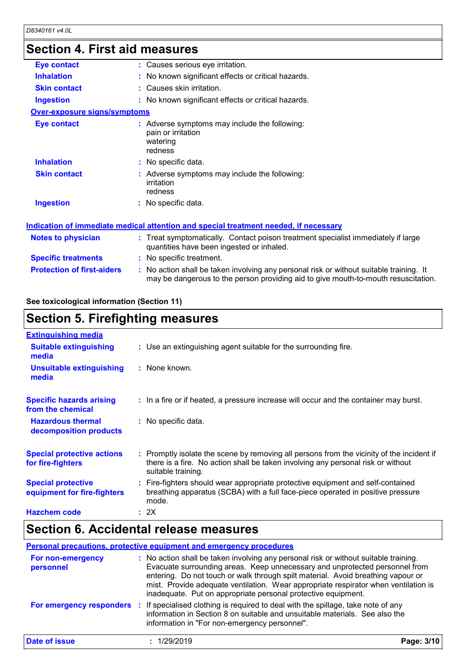### **Section 4. First aid measures**

| <b>Eye contact</b>                  | : Causes serious eye irritation.                                                                                                                                              |
|-------------------------------------|-------------------------------------------------------------------------------------------------------------------------------------------------------------------------------|
| <b>Inhalation</b>                   | : No known significant effects or critical hazards.                                                                                                                           |
| <b>Skin contact</b>                 | : Causes skin irritation.                                                                                                                                                     |
| <b>Ingestion</b>                    | : No known significant effects or critical hazards.                                                                                                                           |
| <b>Over-exposure signs/symptoms</b> |                                                                                                                                                                               |
| <b>Eye contact</b>                  | : Adverse symptoms may include the following:<br>pain or irritation<br>watering<br>redness                                                                                    |
| <b>Inhalation</b>                   | : No specific data.                                                                                                                                                           |
| <b>Skin contact</b>                 | : Adverse symptoms may include the following:<br>irritation<br>redness                                                                                                        |
| <b>Ingestion</b>                    | : No specific data.                                                                                                                                                           |
|                                     | Indication of immediate medical attention and special treatment needed, if necessary                                                                                          |
| Notes to physician                  | : Treat symptomatically. Contact poison treatment specialist immediately if large<br>quantities have been ingested or inhaled.                                                |
| <b>Specific treatments</b>          | : No specific treatment.                                                                                                                                                      |
| <b>Protection of first-aiders</b>   | : No action shall be taken involving any personal risk or without suitable training. It<br>may be dangerous to the person providing aid to give mouth-to-mouth resuscitation. |

#### **See toxicological information (Section 11)**

### **Section 5. Firefighting measures**

| <b>Extinguishing media</b>                               |                                                                                                                                                                                                     |
|----------------------------------------------------------|-----------------------------------------------------------------------------------------------------------------------------------------------------------------------------------------------------|
| <b>Suitable extinguishing</b><br>media                   | : Use an extinguishing agent suitable for the surrounding fire.                                                                                                                                     |
| <b>Unsuitable extinguishing</b><br>media                 | : None known.                                                                                                                                                                                       |
| <b>Specific hazards arising</b><br>from the chemical     | : In a fire or if heated, a pressure increase will occur and the container may burst.                                                                                                               |
| <b>Hazardous thermal</b><br>decomposition products       | : No specific data.                                                                                                                                                                                 |
| <b>Special protective actions</b><br>for fire-fighters   | : Promptly isolate the scene by removing all persons from the vicinity of the incident if<br>there is a fire. No action shall be taken involving any personal risk or without<br>suitable training. |
| <b>Special protective</b><br>equipment for fire-fighters | : Fire-fighters should wear appropriate protective equipment and self-contained<br>breathing apparatus (SCBA) with a full face-piece operated in positive pressure<br>mode.                         |
| <b>Hazchem code</b>                                      | : 2X                                                                                                                                                                                                |

#### **Section 6. Accidental release measures**

#### **Personal precautions, protective equipment and emergency procedures**

| For non-emergency<br>personnel | : No action shall be taken involving any personal risk or without suitable training.<br>Evacuate surrounding areas. Keep unnecessary and unprotected personnel from<br>entering. Do not touch or walk through spilt material. Avoid breathing vapour or<br>mist. Provide adequate ventilation. Wear appropriate respirator when ventilation is<br>inadequate. Put on appropriate personal protective equipment. |            |
|--------------------------------|-----------------------------------------------------------------------------------------------------------------------------------------------------------------------------------------------------------------------------------------------------------------------------------------------------------------------------------------------------------------------------------------------------------------|------------|
| For emergency responders :     | If specialised clothing is required to deal with the spillage, take note of any<br>information in Section 8 on suitable and unsuitable materials. See also the<br>information in "For non-emergency personnel".                                                                                                                                                                                                 |            |
| Date of issue                  | 1/29/2019                                                                                                                                                                                                                                                                                                                                                                                                       | Page: 3/10 |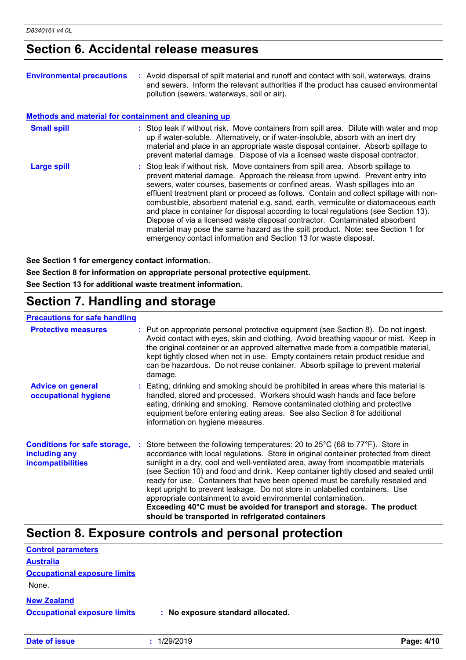#### **Section 6. Accidental release measures**

| <b>Environmental precautions</b>                            | : Avoid dispersal of spilt material and runoff and contact with soil, waterways, drains<br>and sewers. Inform the relevant authorities if the product has caused environmental<br>pollution (sewers, waterways, soil or air).                                                                                                                                                                                                                                                                                                                                                                                                                                                                                                                                  |
|-------------------------------------------------------------|----------------------------------------------------------------------------------------------------------------------------------------------------------------------------------------------------------------------------------------------------------------------------------------------------------------------------------------------------------------------------------------------------------------------------------------------------------------------------------------------------------------------------------------------------------------------------------------------------------------------------------------------------------------------------------------------------------------------------------------------------------------|
| <b>Methods and material for containment and cleaning up</b> |                                                                                                                                                                                                                                                                                                                                                                                                                                                                                                                                                                                                                                                                                                                                                                |
| <b>Small spill</b>                                          | : Stop leak if without risk. Move containers from spill area. Dilute with water and mop<br>up if water-soluble. Alternatively, or if water-insoluble, absorb with an inert dry<br>material and place in an appropriate waste disposal container. Absorb spillage to<br>prevent material damage. Dispose of via a licensed waste disposal contractor.                                                                                                                                                                                                                                                                                                                                                                                                           |
| Large spill                                                 | : Stop leak if without risk. Move containers from spill area. Absorb spillage to<br>prevent material damage. Approach the release from upwind. Prevent entry into<br>sewers, water courses, basements or confined areas. Wash spillages into an<br>effluent treatment plant or proceed as follows. Contain and collect spillage with non-<br>combustible, absorbent material e.g. sand, earth, vermiculite or diatomaceous earth<br>and place in container for disposal according to local regulations (see Section 13).<br>Dispose of via a licensed waste disposal contractor. Contaminated absorbent<br>material may pose the same hazard as the spilt product. Note: see Section 1 for<br>emergency contact information and Section 13 for waste disposal. |

**See Section 1 for emergency contact information.**

**See Section 8 for information on appropriate personal protective equipment.**

**See Section 13 for additional waste treatment information.**

#### **Section 7. Handling and storage**

#### **Precautions for safe handling**

| <b>Protective measures</b>                                                       | : Put on appropriate personal protective equipment (see Section 8). Do not ingest.<br>Avoid contact with eyes, skin and clothing. Avoid breathing vapour or mist. Keep in<br>the original container or an approved alternative made from a compatible material,<br>kept tightly closed when not in use. Empty containers retain product residue and<br>can be hazardous. Do not reuse container. Absorb spillage to prevent material<br>damage.                                                                                                                                                                                                                                                                                     |  |
|----------------------------------------------------------------------------------|-------------------------------------------------------------------------------------------------------------------------------------------------------------------------------------------------------------------------------------------------------------------------------------------------------------------------------------------------------------------------------------------------------------------------------------------------------------------------------------------------------------------------------------------------------------------------------------------------------------------------------------------------------------------------------------------------------------------------------------|--|
| <b>Advice on general</b><br>occupational hygiene                                 | : Eating, drinking and smoking should be prohibited in areas where this material is<br>handled, stored and processed. Workers should wash hands and face before<br>eating, drinking and smoking. Remove contaminated clothing and protective<br>equipment before entering eating areas. See also Section 8 for additional<br>information on hygiene measures.                                                                                                                                                                                                                                                                                                                                                                       |  |
| <b>Conditions for safe storage,</b><br>including any<br><b>incompatibilities</b> | Store between the following temperatures: 20 to $25^{\circ}$ C (68 to $77^{\circ}$ F). Store in<br>accordance with local regulations. Store in original container protected from direct<br>sunlight in a dry, cool and well-ventilated area, away from incompatible materials<br>(see Section 10) and food and drink. Keep container tightly closed and sealed until<br>ready for use. Containers that have been opened must be carefully resealed and<br>kept upright to prevent leakage. Do not store in unlabelled containers. Use<br>appropriate containment to avoid environmental contamination.<br>Exceeding 40°C must be avoided for transport and storage. The product<br>should be transported in refrigerated containers |  |

### **Section 8. Exposure controls and personal protection**

| <b>Control parameters</b>           |                                   |  |
|-------------------------------------|-----------------------------------|--|
| <b>Australia</b>                    |                                   |  |
| <b>Occupational exposure limits</b> |                                   |  |
| None.                               |                                   |  |
| <b>New Zealand</b>                  |                                   |  |
| <b>Occupational exposure limits</b> | : No exposure standard allocated. |  |

**Date of issue :** 1/29/2019 **Page: 4/10**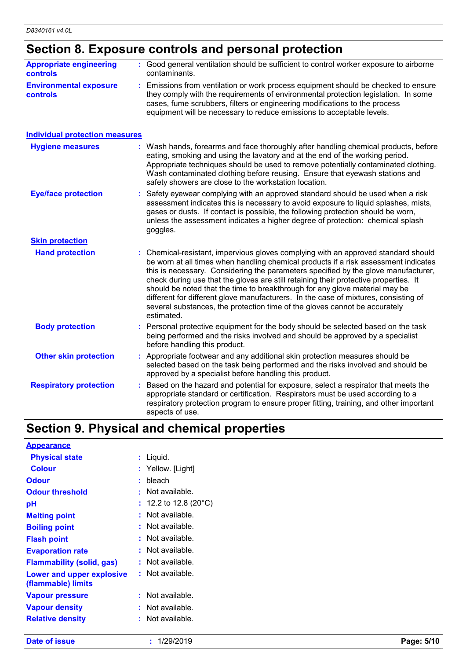### **Section 8. Exposure controls and personal protection**

| <b>Appropriate engineering</b><br>controls | : Good general ventilation should be sufficient to control worker exposure to airborne<br>contaminants.                                                                                                                                                                                                                                                                                                                                                                                                                                                                                                                   |
|--------------------------------------------|---------------------------------------------------------------------------------------------------------------------------------------------------------------------------------------------------------------------------------------------------------------------------------------------------------------------------------------------------------------------------------------------------------------------------------------------------------------------------------------------------------------------------------------------------------------------------------------------------------------------------|
| <b>Environmental exposure</b><br>controls  | : Emissions from ventilation or work process equipment should be checked to ensure<br>they comply with the requirements of environmental protection legislation. In some<br>cases, fume scrubbers, filters or engineering modifications to the process<br>equipment will be necessary to reduce emissions to acceptable levels.                                                                                                                                                                                                                                                                                           |
| <b>Individual protection measures</b>      |                                                                                                                                                                                                                                                                                                                                                                                                                                                                                                                                                                                                                           |
| <b>Hygiene measures</b>                    | : Wash hands, forearms and face thoroughly after handling chemical products, before<br>eating, smoking and using the lavatory and at the end of the working period.<br>Appropriate techniques should be used to remove potentially contaminated clothing.<br>Wash contaminated clothing before reusing. Ensure that eyewash stations and<br>safety showers are close to the workstation location.                                                                                                                                                                                                                         |
| <b>Eye/face protection</b>                 | : Safety eyewear complying with an approved standard should be used when a risk<br>assessment indicates this is necessary to avoid exposure to liquid splashes, mists,<br>gases or dusts. If contact is possible, the following protection should be worn,<br>unless the assessment indicates a higher degree of protection: chemical splash<br>goggles.                                                                                                                                                                                                                                                                  |
| <b>Skin protection</b>                     |                                                                                                                                                                                                                                                                                                                                                                                                                                                                                                                                                                                                                           |
| <b>Hand protection</b>                     | : Chemical-resistant, impervious gloves complying with an approved standard should<br>be worn at all times when handling chemical products if a risk assessment indicates<br>this is necessary. Considering the parameters specified by the glove manufacturer,<br>check during use that the gloves are still retaining their protective properties. It<br>should be noted that the time to breakthrough for any glove material may be<br>different for different glove manufacturers. In the case of mixtures, consisting of<br>several substances, the protection time of the gloves cannot be accurately<br>estimated. |
| <b>Body protection</b>                     | Personal protective equipment for the body should be selected based on the task<br>being performed and the risks involved and should be approved by a specialist<br>before handling this product.                                                                                                                                                                                                                                                                                                                                                                                                                         |
| <b>Other skin protection</b>               | : Appropriate footwear and any additional skin protection measures should be<br>selected based on the task being performed and the risks involved and should be<br>approved by a specialist before handling this product.                                                                                                                                                                                                                                                                                                                                                                                                 |
| <b>Respiratory protection</b>              | : Based on the hazard and potential for exposure, select a respirator that meets the<br>appropriate standard or certification. Respirators must be used according to a<br>respiratory protection program to ensure proper fitting, training, and other important<br>aspects of use.                                                                                                                                                                                                                                                                                                                                       |

## **Section 9. Physical and chemical properties**

| <b>Appearance</b>                               |   |                                  |
|-------------------------------------------------|---|----------------------------------|
| <b>Physical state</b>                           | ÷ | Liquid.                          |
| <b>Colour</b>                                   |   | Yellow. [Light]                  |
| <b>Odour</b>                                    | ٠ | bleach                           |
| <b>Odour threshold</b>                          | ٠ | Not available.                   |
| рH                                              |   | : 12.2 to 12.8 (20 $^{\circ}$ C) |
| <b>Melting point</b>                            |   | Not available.                   |
| <b>Boiling point</b>                            |   | Not available.                   |
| <b>Flash point</b>                              |   | Not available.                   |
| <b>Evaporation rate</b>                         |   | Not available.                   |
| <b>Flammability (solid, gas)</b>                |   | Not available.                   |
| Lower and upper explosive<br>(flammable) limits |   | : Not available.                 |
| <b>Vapour pressure</b>                          |   | Not available.                   |
| <b>Vapour density</b>                           |   | Not available.                   |
| <b>Relative density</b>                         |   | Not available.                   |

**Date of issue :** 1/29/2019 **Page: 5/10**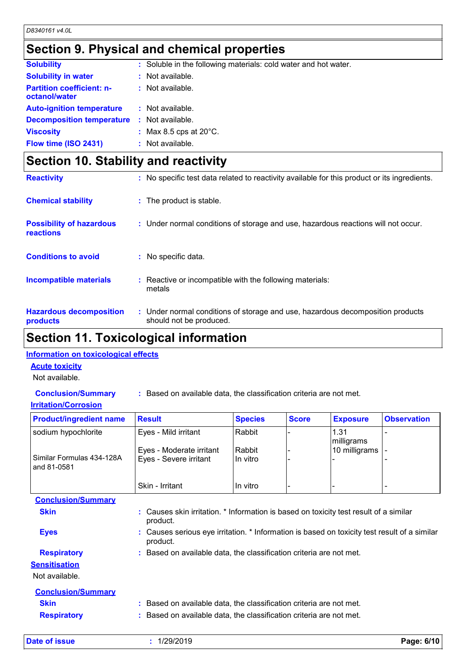### **Section 9. Physical and chemical properties**

| <b>Solubility</b>                                 | : Soluble in the following materials: cold water and hot water. |
|---------------------------------------------------|-----------------------------------------------------------------|
| <b>Solubility in water</b>                        | : Not available.                                                |
| <b>Partition coefficient: n-</b><br>octanol/water | $:$ Not available.                                              |
| <b>Auto-ignition temperature</b>                  | : Not available.                                                |
| <b>Decomposition temperature</b>                  | : Not available.                                                |
| <b>Viscosity</b>                                  | : Max 8.5 cps at $20^{\circ}$ C.                                |
| Flow time (ISO 2431)                              | : Not available.                                                |
|                                                   |                                                                 |

### **Section 10. Stability and reactivity**

| <b>Reactivity</b>                            | : No specific test data related to reactivity available for this product or its ingredients.              |
|----------------------------------------------|-----------------------------------------------------------------------------------------------------------|
| <b>Chemical stability</b>                    | : The product is stable.                                                                                  |
| <b>Possibility of hazardous</b><br>reactions | : Under normal conditions of storage and use, hazardous reactions will not occur.                         |
| <b>Conditions to avoid</b>                   | : No specific data.                                                                                       |
| <b>Incompatible materials</b>                | : Reactive or incompatible with the following materials:<br>metals                                        |
| <b>Hazardous decomposition</b><br>products   | : Under normal conditions of storage and use, hazardous decomposition products<br>should not be produced. |

#### **Section 11. Toxicological information**

#### **Information on toxicological effects**

#### **Acute toxicity**

Not available.

**Conclusion/Summary :** Based on available data, the classification criteria are not met.

#### **Irritation/Corrosion**

| <b>Product/ingredient name</b>           | <b>Result</b>                                                                                            | <b>Species</b>     | <b>Score</b> | <b>Exposure</b>             | <b>Observation</b> |  |
|------------------------------------------|----------------------------------------------------------------------------------------------------------|--------------------|--------------|-----------------------------|--------------------|--|
| sodium hypochlorite                      | Eyes - Mild irritant                                                                                     | Rabbit             |              | 1.31                        |                    |  |
| Similar Formulas 434-128A<br>and 81-0581 | Eyes - Moderate irritant<br>Eyes - Severe irritant                                                       | Rabbit<br>In vitro |              | milligrams<br>10 milligrams |                    |  |
|                                          | Skin - Irritant                                                                                          | In vitro           |              |                             |                    |  |
| <b>Conclusion/Summary</b>                |                                                                                                          |                    |              |                             |                    |  |
| <b>Skin</b>                              | : Causes skin irritation. * Information is based on toxicity test result of a similar<br>product.        |                    |              |                             |                    |  |
| <b>Eyes</b>                              | : Causes serious eye irritation. * Information is based on toxicity test result of a similar<br>product. |                    |              |                             |                    |  |
| <b>Respiratory</b>                       | : Based on available data, the classification criteria are not met.                                      |                    |              |                             |                    |  |
| <b>Sensitisation</b>                     |                                                                                                          |                    |              |                             |                    |  |
| Not available.                           |                                                                                                          |                    |              |                             |                    |  |
| <b>Conclusion/Summary</b>                |                                                                                                          |                    |              |                             |                    |  |
| <b>Skin</b>                              | : Based on available data, the classification criteria are not met.                                      |                    |              |                             |                    |  |
| <b>Respiratory</b>                       | : Based on available data, the classification criteria are not met.                                      |                    |              |                             |                    |  |
|                                          |                                                                                                          |                    |              |                             |                    |  |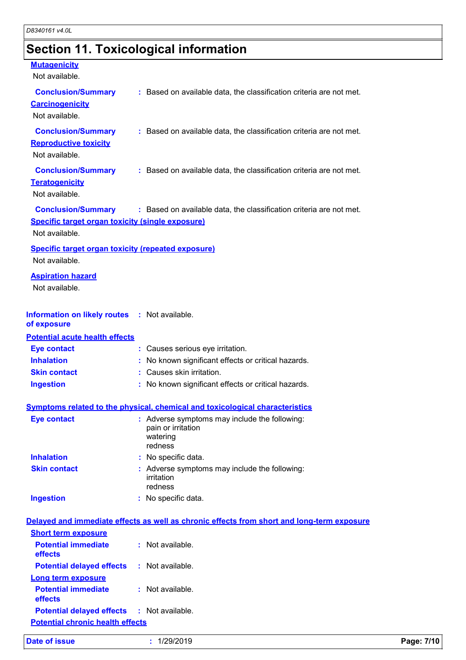# **Section 11. Toxicological information**

| <b>Mutagenicity</b><br>Not available.                                       |                                                                                            |
|-----------------------------------------------------------------------------|--------------------------------------------------------------------------------------------|
| <b>Conclusion/Summary</b><br><b>Carcinogenicity</b><br>Not available.       | : Based on available data, the classification criteria are not met.                        |
| <b>Conclusion/Summary</b><br><b>Reproductive toxicity</b><br>Not available. | : Based on available data, the classification criteria are not met.                        |
| <b>Conclusion/Summary</b><br><b>Teratogenicity</b><br>Not available.        | : Based on available data, the classification criteria are not met.                        |
| Specific target organ toxicity (single exposure)<br>Not available.          | Conclusion/Summary : Based on available data, the classification criteria are not met.     |
| <b>Specific target organ toxicity (repeated exposure)</b><br>Not available. |                                                                                            |
| <b>Aspiration hazard</b><br>Not available.                                  |                                                                                            |
| Information on likely routes : Not available.<br>of exposure                |                                                                                            |
| <b>Potential acute health effects</b>                                       |                                                                                            |
| <b>Eye contact</b>                                                          | : Causes serious eye irritation.                                                           |
| <b>Inhalation</b>                                                           | : No known significant effects or critical hazards.                                        |
| <b>Skin contact</b>                                                         | : Causes skin irritation.                                                                  |
| <b>Ingestion</b>                                                            | : No known significant effects or critical hazards.                                        |
|                                                                             | <b>Symptoms related to the physical, chemical and toxicological characteristics</b>        |
| <b>Eye contact</b>                                                          | : Adverse symptoms may include the following:<br>pain or irritation<br>watering<br>redness |
| <b>Inhalation</b>                                                           | : No specific data.                                                                        |
| <b>Skin contact</b>                                                         | : Adverse symptoms may include the following:<br>irritation<br>redness                     |
| <b>Ingestion</b>                                                            | No specific data.                                                                          |
|                                                                             | Delayed and immediate effects as well as chronic effects from short and long-term exposure |
| <b>Short term exposure</b>                                                  |                                                                                            |
| <b>Potential immediate</b><br>effects                                       | : Not available.                                                                           |
| <b>Potential delayed effects</b>                                            | : Not available.                                                                           |
| <b>Long term exposure</b><br><b>Potential immediate</b><br>effects          | : Not available.                                                                           |
| <b>Potential delayed effects</b>                                            | : Not available.                                                                           |
| <b>Potential chronic health effects</b>                                     |                                                                                            |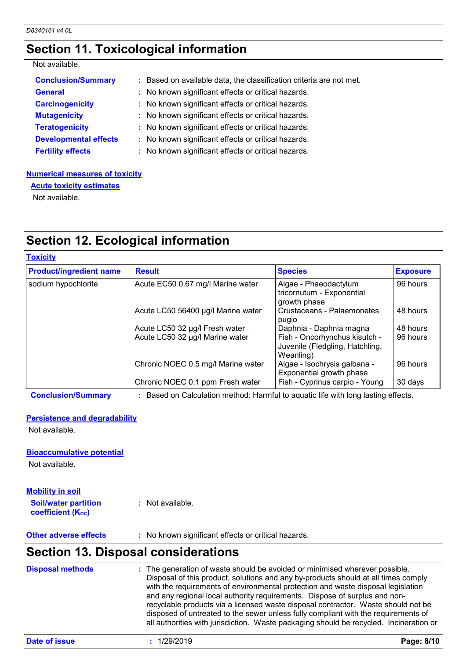### **Section 11. Toxicological information**

#### Not available.

| <b>Conclusion/Summary</b>    | : Based on available data, the classification criteria are not met. |
|------------------------------|---------------------------------------------------------------------|
| <b>General</b>               | : No known significant effects or critical hazards.                 |
| <b>Carcinogenicity</b>       | : No known significant effects or critical hazards.                 |
| <b>Mutagenicity</b>          | : No known significant effects or critical hazards.                 |
| <b>Teratogenicity</b>        | : No known significant effects or critical hazards.                 |
| <b>Developmental effects</b> | : No known significant effects or critical hazards.                 |
| <b>Fertility effects</b>     | : No known significant effects or critical hazards.                 |

#### **Numerical measures of toxicity**

**Acute toxicity estimates**

Not available.

### **Section 12. Ecological information**

#### **Toxicity**

| <b>Product/ingredient name</b> | <b>Result</b>                      | <b>Species</b>                                                                | <b>Exposure</b> |
|--------------------------------|------------------------------------|-------------------------------------------------------------------------------|-----------------|
| sodium hypochlorite            | Acute EC50 0.67 mg/l Marine water  | Algae - Phaeodactylum<br>tricornutum - Exponential<br>growth phase            | 96 hours        |
|                                | Acute LC50 56400 µg/l Marine water | Crustaceans - Palaemonetes<br>pugio                                           | 48 hours        |
|                                | Acute LC50 32 µg/l Fresh water     | Daphnia - Daphnia magna                                                       | 48 hours        |
|                                | Acute LC50 32 µg/l Marine water    | Fish - Oncorhynchus kisutch -<br>Juvenile (Fledgling, Hatchling,<br>Weanling) | 96 hours        |
|                                | Chronic NOEC 0.5 mg/l Marine water | Algae - Isochrysis galbana -<br>Exponential growth phase                      | 96 hours        |
|                                | Chronic NOEC 0.1 ppm Fresh water   | Fish - Cyprinus carpio - Young                                                | 30 days         |

**Conclusion/Summary :** Based on Calculation method: Harmful to aquatic life with long lasting effects.

#### **Persistence and degradability**

Not available.

#### **Bioaccumulative potential**

Not available.

| <b>Mobility in soil</b>                                 |                  |
|---------------------------------------------------------|------------------|
| <b>Soil/water partition</b><br><b>coefficient (Koc)</b> | : Not available. |

**Other adverse effects** : No known significant effects or critical hazards.

### **Section 13. Disposal considerations**

| <b>Disposal methods</b> | : The generation of waste should be avoided or minimised wherever possible.<br>Disposal of this product, solutions and any by-products should at all times comply<br>with the requirements of environmental protection and waste disposal legislation<br>and any regional local authority requirements. Dispose of surplus and non-<br>recyclable products via a licensed waste disposal contractor. Waste should not be<br>disposed of untreated to the sewer unless fully compliant with the requirements of<br>all authorities with jurisdiction. Waste packaging should be recycled. Incineration or |
|-------------------------|----------------------------------------------------------------------------------------------------------------------------------------------------------------------------------------------------------------------------------------------------------------------------------------------------------------------------------------------------------------------------------------------------------------------------------------------------------------------------------------------------------------------------------------------------------------------------------------------------------|
|-------------------------|----------------------------------------------------------------------------------------------------------------------------------------------------------------------------------------------------------------------------------------------------------------------------------------------------------------------------------------------------------------------------------------------------------------------------------------------------------------------------------------------------------------------------------------------------------------------------------------------------------|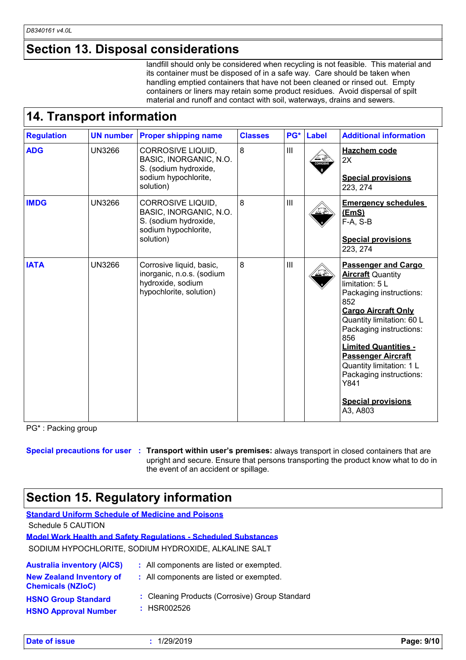#### **Section 13. Disposal considerations**

|                   |                                  | <b>Section 13. Disposal considerations</b>                                                                                                                                                                                                                                                                               |                |       |              |                                                                                                                                                                                                                                                                                                                                                                              |
|-------------------|----------------------------------|--------------------------------------------------------------------------------------------------------------------------------------------------------------------------------------------------------------------------------------------------------------------------------------------------------------------------|----------------|-------|--------------|------------------------------------------------------------------------------------------------------------------------------------------------------------------------------------------------------------------------------------------------------------------------------------------------------------------------------------------------------------------------------|
|                   | <b>14. Transport information</b> | its container must be disposed of in a safe way. Care should be taken when<br>handling emptied containers that have not been cleaned or rinsed out. Empty<br>containers or liners may retain some product residues. Avoid dispersal of spilt<br>material and runoff and contact with soil, waterways, drains and sewers. |                |       |              | landfill should only be considered when recycling is not feasible. This material and                                                                                                                                                                                                                                                                                         |
| <b>Regulation</b> | <b>UN number</b>                 | <b>Proper shipping name</b>                                                                                                                                                                                                                                                                                              | <b>Classes</b> | $PG*$ | <b>Label</b> | <b>Additional information</b>                                                                                                                                                                                                                                                                                                                                                |
| <b>ADG</b>        | <b>UN3266</b>                    | CORROSIVE LIQUID,<br>BASIC, INORGANIC, N.O.<br>S. (sodium hydroxide,<br>sodium hypochlorite,<br>solution)                                                                                                                                                                                                                | 8              | III   |              | Hazchem code<br>2X<br><b>Special provisions</b><br>223, 274                                                                                                                                                                                                                                                                                                                  |
| <b>IMDG</b>       | <b>UN3266</b>                    | CORROSIVE LIQUID,<br>BASIC, INORGANIC, N.O.<br>S. (sodium hydroxide,<br>sodium hypochlorite,<br>solution)                                                                                                                                                                                                                | 8              | III   |              | <b>Emergency schedules</b><br>(EmS)<br>F-A, S-B<br><b>Special provisions</b><br>223, 274                                                                                                                                                                                                                                                                                     |
| <b>IATA</b>       | <b>UN3266</b>                    | Corrosive liquid, basic,<br>inorganic, n.o.s. (sodium<br>hydroxide, sodium<br>hypochlorite, solution)                                                                                                                                                                                                                    | 8              | III   |              | <b>Passenger and Cargo</b><br><b>Aircraft Quantity</b><br>limitation: 5 L<br>Packaging instructions:<br>852<br><b>Cargo Aircraft Only</b><br>Quantity limitation: 60 L<br>Packaging instructions:<br>856<br><b>Limited Quantities -</b><br><b>Passenger Aircraft</b><br>Quantity limitation: 1 L<br>Packaging instructions:<br>Y841<br><b>Special provisions</b><br>A3, A803 |

PG\* : Packing group

**Special precautions for user Transport within user's premises:** always transport in closed containers that are **:** upright and secure. Ensure that persons transporting the product know what to do in the event of an accident or spillage.

### **Section 15. Regulatory information**

| <b>Standard Uniform Schedule of Medicine and Poisons</b>    |                                                                        |  |  |  |
|-------------------------------------------------------------|------------------------------------------------------------------------|--|--|--|
| Schedule 5 CAUTION                                          |                                                                        |  |  |  |
|                                                             | <b>Model Work Health and Safety Requiations - Scheduled Substances</b> |  |  |  |
| SODIUM HYPOCHLORITE, SODIUM HYDROXIDE, ALKALINE SALT        |                                                                        |  |  |  |
| <b>Australia inventory (AICS)</b>                           | : All components are listed or exempted.                               |  |  |  |
| <b>New Zealand Inventory of</b><br><b>Chemicals (NZIoC)</b> | : All components are listed or exempted.                               |  |  |  |
| <b>HSNO Group Standard</b>                                  | : Cleaning Products (Corrosive) Group Standard                         |  |  |  |

**HSNO Approval Number**

**:** HSR002526